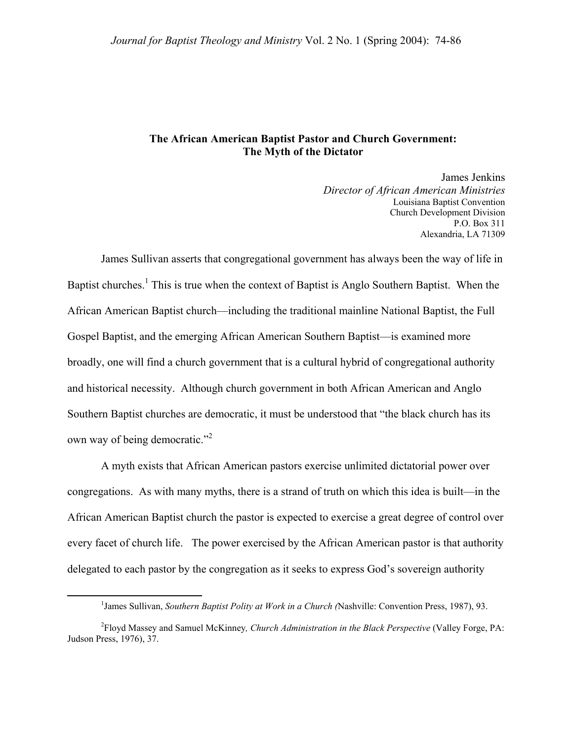## **The African American Baptist Pastor and Church Government: The Myth of the Dictator**

James Jenkins *Director of African American Ministries*  Louisiana Baptist Convention Church Development Division P.O. Box 311 Alexandria, LA 71309

James Sullivan asserts that congregational government has always been the way of life in Baptist churches.<sup>[1](#page-0-0)</sup> This is true when the context of Baptist is Anglo Southern Baptist. When the African American Baptist church—including the traditional mainline National Baptist, the Full Gospel Baptist, and the emerging African American Southern Baptist—is examined more broadly, one will find a church government that is a cultural hybrid of congregational authority and historical necessity. Although church government in both African American and Anglo Southern Baptist churches are democratic, it must be understood that "the black church has its own way of being democratic."<sup>[2](#page-0-1)</sup>

A myth exists that African American pastors exercise unlimited dictatorial power over congregations. As with many myths, there is a strand of truth on which this idea is built—in the African American Baptist church the pastor is expected to exercise a great degree of control over every facet of church life. The power exercised by the African American pastor is that authority delegated to each pastor by the congregation as it seeks to express God's sovereign authority

<span id="page-0-0"></span> $\frac{1}{1}$ <sup>1</sup>James Sullivan, *Southern Baptist Polity at Work in a Church (*Nashville: Convention Press, 1987), 93.

<span id="page-0-1"></span><sup>&</sup>lt;sup>2</sup> Floyd Massey and Samuel McKinney, *Church Administration in the Black Perspective* (Valley Forge, PA: Judson Press, 1976), 37.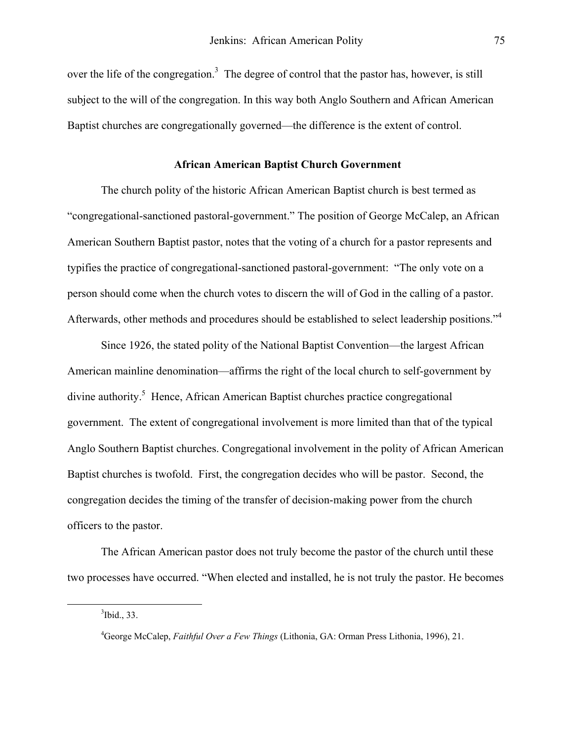over the life of the congregation.<sup>[3](#page-1-0)</sup> The degree of control that the pastor has, however, is still subject to the will of the congregation. In this way both Anglo Southern and African American Baptist churches are congregationally governed—the difference is the extent of control.

## **African American Baptist Church Government**

The church polity of the historic African American Baptist church is best termed as "congregational-sanctioned pastoral-government." The position of George McCalep, an African American Southern Baptist pastor, notes that the voting of a church for a pastor represents and typifies the practice of congregational-sanctioned pastoral-government: "The only vote on a person should come when the church votes to discern the will of God in the calling of a pastor. Afterwards, other methods and procedures should be established to select leadership positions."<sup>[4](#page-1-1)</sup>

Since 1926, the stated polity of the National Baptist Convention—the largest African American mainline denomination—affirms the right of the local church to self-government by divine authority.<sup>[5](#page-1-2)</sup> Hence, African American Baptist churches practice congregational government. The extent of congregational involvement is more limited than that of the typical Anglo Southern Baptist churches. Congregational involvement in the polity of African American Baptist churches is twofold. First, the congregation decides who will be pastor. Second, the congregation decides the timing of the transfer of decision-making power from the church officers to the pastor.

The African American pastor does not truly become the pastor of the church until these two processes have occurred. "When elected and installed, he is not truly the pastor. He becomes

 $\frac{1}{3}$  $3$ Ibid., 33.

<span id="page-1-2"></span><span id="page-1-1"></span><span id="page-1-0"></span><sup>4</sup> George McCalep, *Faithful Over a Few Things* (Lithonia, GA: Orman Press Lithonia, 1996), 21.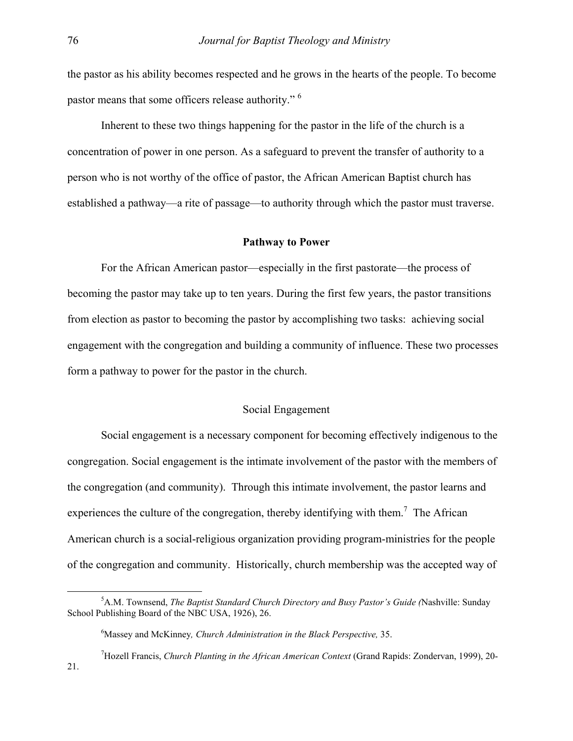the pastor as his ability becomes respected and he grows in the hearts of the people. To become pastor means that some officers release authority." <sup>6</sup>

Inherent to these two things happening for the pastor in the life of the church is a concentration of power in one person. As a safeguard to prevent the transfer of authority to a person who is not worthy of the office of pastor, the African American Baptist church has established a pathway—a rite of passage—to authority through which the pastor must traverse.

#### **Pathway to Power**

For the African American pastor—especially in the first pastorate—the process of becoming the pastor may take up to ten years. During the first few years, the pastor transitions from election as pastor to becoming the pastor by accomplishing two tasks: achieving social engagement with the congregation and building a community of influence. These two processes form a pathway to power for the pastor in the church.

### Social Engagement

Social engagement is a necessary component for becoming effectively indigenous to the congregation. Social engagement is the intimate involvement of the pastor with the members of the congregation (and community). Through this intimate involvement, the pastor learns and experiences the culture of the congregation, thereby identifying with them.<sup>7</sup> The African American church is a social-religious organization providing program-ministries for the people of the congregation and community. Historically, church membership was the accepted way of

7 Hozell Francis, *Church Planting in the African American Context* (Grand Rapids: Zondervan, 1999), 20- 21.

 $\frac{1}{5}$ A.M. Townsend, *The Baptist Standard Church Directory and Busy Pastor's Guide (*Nashville: Sunday School Publishing Board of the NBC USA, 1926), 26.

<span id="page-2-1"></span><span id="page-2-0"></span><sup>6</sup> Massey and McKinney*, Church Administration in the Black Perspective,* 35.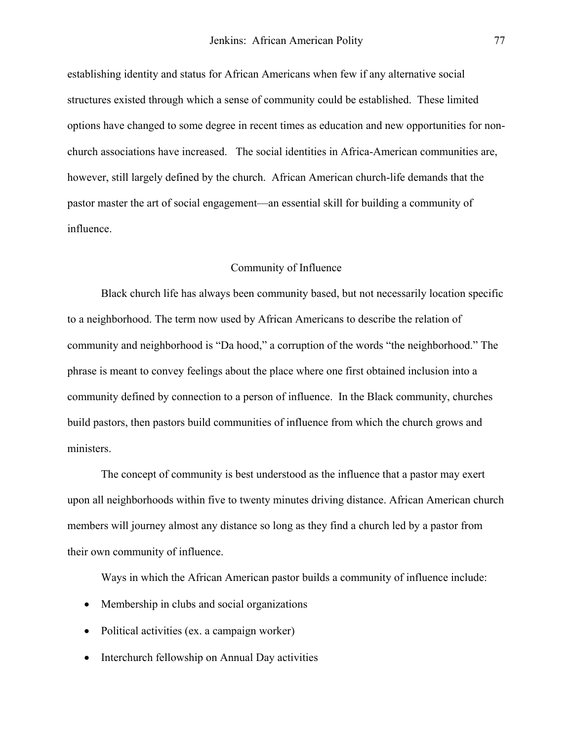establishing identity and status for African Americans when few if any alternative social structures existed through which a sense of community could be established. These limited options have changed to some degree in recent times as education and new opportunities for nonchurch associations have increased. The social identities in Africa-American communities are, however, still largely defined by the church. African American church-life demands that the pastor master the art of social engagement—an essential skill for building a community of influence.

#### Community of Influence

Black church life has always been community based, but not necessarily location specific to a neighborhood. The term now used by African Americans to describe the relation of community and neighborhood is "Da hood," a corruption of the words "the neighborhood." The phrase is meant to convey feelings about the place where one first obtained inclusion into a community defined by connection to a person of influence. In the Black community, churches build pastors, then pastors build communities of influence from which the church grows and ministers.

The concept of community is best understood as the influence that a pastor may exert upon all neighborhoods within five to twenty minutes driving distance. African American church members will journey almost any distance so long as they find a church led by a pastor from their own community of influence.

Ways in which the African American pastor builds a community of influence include:

- Membership in clubs and social organizations
- Political activities (ex. a campaign worker)
- Interchurch fellowship on Annual Day activities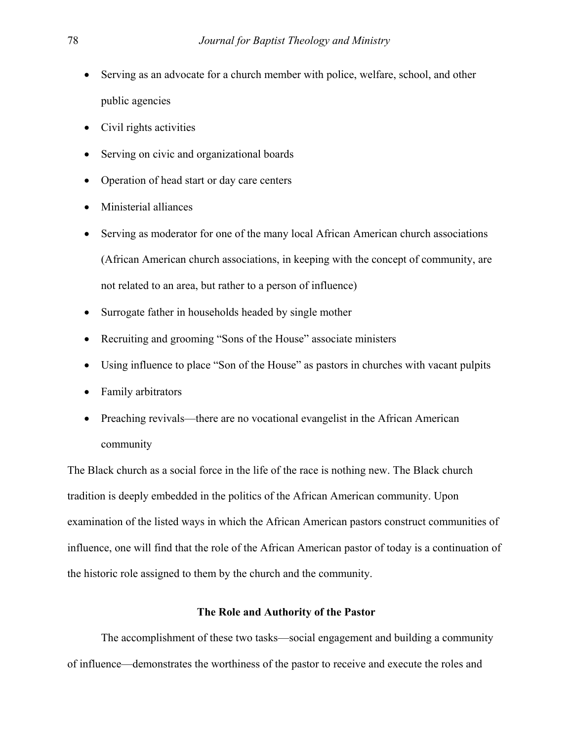- Serving as an advocate for a church member with police, welfare, school, and other public agencies
- Civil rights activities
- Serving on civic and organizational boards
- Operation of head start or day care centers
- Ministerial alliances
- Serving as moderator for one of the many local African American church associations (African American church associations, in keeping with the concept of community, are not related to an area, but rather to a person of influence)
- Surrogate father in households headed by single mother
- Recruiting and grooming "Sons of the House" associate ministers
- Using influence to place "Son of the House" as pastors in churches with vacant pulpits
- Family arbitrators
- Preaching revivals—there are no vocational evangelist in the African American community

The Black church as a social force in the life of the race is nothing new. The Black church tradition is deeply embedded in the politics of the African American community. Upon examination of the listed ways in which the African American pastors construct communities of influence, one will find that the role of the African American pastor of today is a continuation of the historic role assigned to them by the church and the community.

# **The Role and Authority of the Pastor**

The accomplishment of these two tasks—social engagement and building a community of influence—demonstrates the worthiness of the pastor to receive and execute the roles and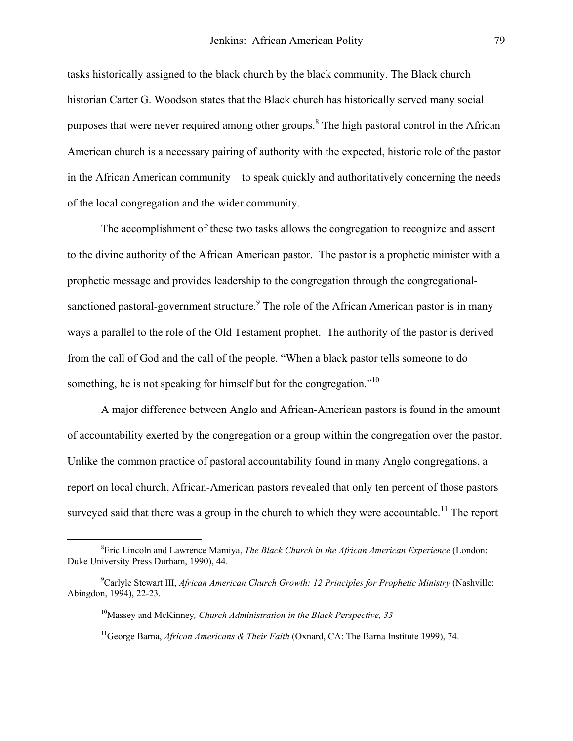tasks historically assigned to the black church by the black community. The Black church historian Carter G. Woodson states that the Black church has historically served many social purposes that were never required among other groups.<sup>[8](#page-5-0)</sup> The high pastoral control in the African American church is a necessary pairing of authority with the expected, historic role of the pastor in the African American community—to speak quickly and authoritatively concerning the needs of the local congregation and the wider community.

The accomplishment of these two tasks allows the congregation to recognize and assent to the divine authority of the African American pastor. The pastor is a prophetic minister with a prophetic message and provides leadership to the congregation through the congregational-sanctioned pastoral-government structure.<sup>[9](#page-5-1)</sup> The role of the African American pastor is in many ways a parallel to the role of the Old Testament prophet. The authority of the pastor is derived from the call of God and the call of the people. "When a black pastor tells someone to do something, he is not speaking for himself but for the congregation."<sup>[10](#page-5-2)</sup>

 A major difference between Anglo and African-American pastors is found in the amount of accountability exerted by the congregation or a group within the congregation over the pastor. Unlike the common practice of pastoral accountability found in many Anglo congregations, a report on local church, African-American pastors revealed that only ten percent of those pastors surveyed said that there was a group in the church to which they were accountable.<sup>11</sup> The report

<span id="page-5-0"></span> $\frac{1}{8}$ Eric Lincoln and Lawrence Mamiya, *The Black Church in the African American Experience* (London: Duke University Press Durham, 1990), 44.

<sup>9</sup> Carlyle Stewart III, *African American Church Growth: 12 Principles for Prophetic Ministry* (Nashville: Abingdon, 1994), 22-23.

<span id="page-5-2"></span><span id="page-5-1"></span><sup>10</sup>Massey and McKinney*, Church Administration in the Black Perspective, 33*

<span id="page-5-3"></span><sup>11</sup>George Barna, *African Americans & Their Faith* (Oxnard, CA: The Barna Institute 1999), 74.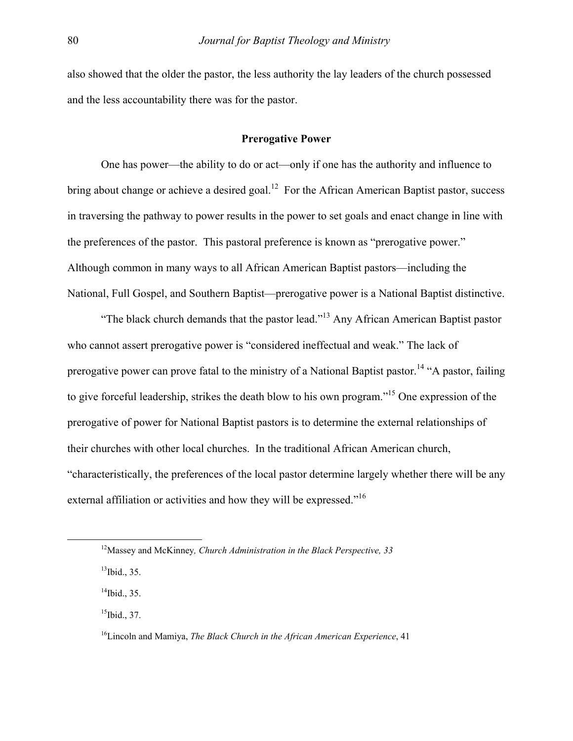also showed that the older the pastor, the less authority the lay leaders of the church possessed and the less accountability there was for the pastor.

## **Prerogative Power**

One has power—the ability to do or act—only if one has the authority and influence to bring about change or achieve a desired goal.<sup>12</sup> For the African American Baptist pastor, success in traversing the pathway to power results in the power to set goals and enact change in line with the preferences of the pastor. This pastoral preference is known as "prerogative power." Although common in many ways to all African American Baptist pastors—including the National, Full Gospel, and Southern Baptist—prerogative power is a National Baptist distinctive.

"The black church demands that the pastor lead."[13 A](#page-6-1)ny African American Baptist pastor who cannot assert prerogative power is "considered ineffectual and weak." The lack of prerogative power can prove fatal to the ministry of a National Baptist pastor.<sup>14</sup> "A pastor, failing to give forceful leadership, strikes the death blow to his own program."[15 O](#page-6-3)ne expression of the prerogative of power for National Baptist pastors is to determine the external relationships of their churches with other local churches. In the traditional African American church, "characteristically, the preferences of the local pastor determine largely whether there will be any external affiliation or activities and how they will be expressed."<sup>[16](#page-6-4)</sup>

<span id="page-6-3"></span> $15$ Ibid., 37.

<span id="page-6-0"></span> <sup>12</sup>Massey and McKinney*, Church Administration in the Black Perspective, 33* 

<span id="page-6-1"></span> $13$ Ibid., 35.

<span id="page-6-2"></span> $14$ Ibid., 35.

<span id="page-6-4"></span><sup>16</sup>Lincoln and Mamiya, *The Black Church in the African American Experience*, 41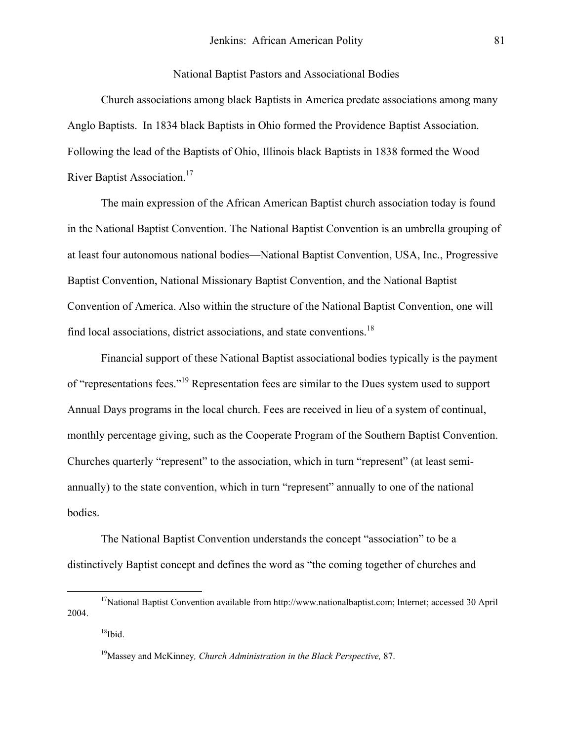### National Baptist Pastors and Associational Bodies

Church associations among black Baptists in America predate associations among many Anglo Baptists. In 1834 black Baptists in Ohio formed the Providence Baptist Association. Following the lead of the Baptists of Ohio, Illinois black Baptists in 1838 formed the Wood River Baptist Association.<sup>17</sup>

The main expression of the African American Baptist church association today is found in the National Baptist Convention. The National Baptist Convention is an umbrella grouping of at least four autonomous national bodies—National Baptist Convention, USA, Inc., Progressive Baptist Convention, National Missionary Baptist Convention, and the National Baptist Convention of America. Also within the structure of the National Baptist Convention, one will find local associations, district associations, and state conventions.<sup>18</sup>

Financial support of these National Baptist associational bodies typically is the payment of "representations fees."[19 R](#page-7-2)epresentation fees are similar to the Dues system used to support Annual Days programs in the local church. Fees are received in lieu of a system of continual, monthly percentage giving, such as the Cooperate Program of the Southern Baptist Convention. Churches quarterly "represent" to the association, which in turn "represent" (at least semiannually) to the state convention, which in turn "represent" annually to one of the national bodies.

The National Baptist Convention understands the concept "association" to be a distinctively Baptist concept and defines the word as "the coming together of churches and

<span id="page-7-1"></span><span id="page-7-0"></span> $18$ Ibid.

<sup>&</sup>lt;sup>17</sup>National Baptist Convention available from http://www.nationalbaptist.com; Internet; accessed 30 April 2004.

<span id="page-7-2"></span><sup>19</sup>Massey and McKinney*, Church Administration in the Black Perspective,* 87.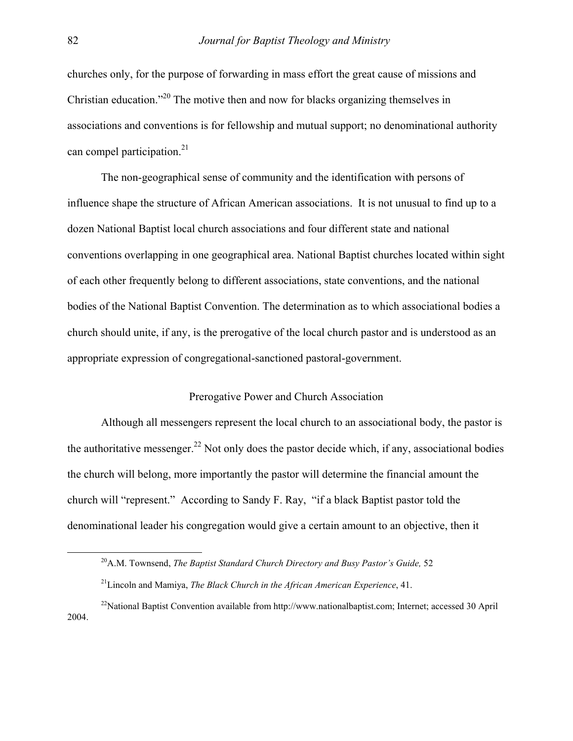churches only, for the purpose of forwarding in mass effort the great cause of missions and Christian education."[20](#page-8-0) The motive then and now for blacks organizing themselves in associations and conventions is for fellowship and mutual support; no denominational authority can compel participation.<sup>[21](#page-8-1)</sup>

The non-geographical sense of community and the identification with persons of influence shape the structure of African American associations. It is not unusual to find up to a dozen National Baptist local church associations and four different state and national conventions overlapping in one geographical area. National Baptist churches located within sight of each other frequently belong to different associations, state conventions, and the national bodies of the National Baptist Convention. The determination as to which associational bodies a church should unite, if any, is the prerogative of the local church pastor and is understood as an appropriate expression of congregational-sanctioned pastoral-government.

## Prerogative Power and Church Association

Although all messengers represent the local church to an associational body, the pastor is the authoritative messenger.<sup>22</sup> Not only does the pastor decide which, if any, associational bodies the church will belong, more importantly the pastor will determine the financial amount the church will "represent." According to Sandy F. Ray, "if a black Baptist pastor told the denominational leader his congregation would give a certain amount to an objective, then it

<span id="page-8-0"></span> <sup>20</sup>A.M. Townsend, *The Baptist Standard Church Directory and Busy Pastor's Guide,* <sup>52</sup>

<span id="page-8-2"></span><span id="page-8-1"></span><sup>21</sup>Lincoln and Mamiya, *The Black Church in the African American Experience*, 41.

 $^{22}$ National Baptist Convention available from http://www.nationalbaptist.com; Internet; accessed 30 April 2004.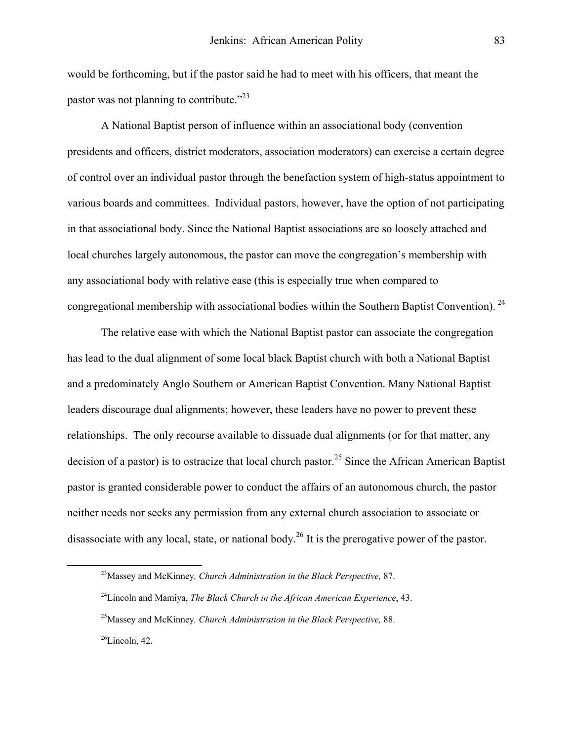would be forthcoming, but if the pastor said he had to meet with his officers, that meant the pastor was not planning to contribute." $^{23}$ 

 A National Baptist person of influence within an associational body (convention presidents and officers, district moderators, association moderators) can exercise a certain degree of control over an individual pastor through the benefaction system of high-status appointment to various boards and committees. Individual pastors, however, have the option of not participating in that associational body. Since the National Baptist associations are so loosely attached and local churches largely autonomous, the pastor can move the congregation's membership with any associational body with relative ease (this is especially true when compared to congregational membership with associational bodies within the Southern Baptist Convention). <sup>24</sup>

 The relative ease with which the National Baptist pastor can associate the congregation has lead to the dual alignment of some local black Baptist church with both a National Baptist and a predominately Anglo Southern or American Baptist Convention. Many National Baptist leaders discourage dual alignments; however, these leaders have no power to prevent these relationships. The only recourse available to dissuade dual alignments (or for that matter, any decision of a pastor) is to ostracize that local church pastor.<sup>25</sup> Since the African American Baptist pastor is granted considerable power to conduct the affairs of an autonomous church, the pastor neither needs nor seeks any permission from any external church association to associate or disassociate with any local, state, or national body.<sup>26</sup> It is the prerogative power of the pastor.

<span id="page-9-3"></span> $^{26}$ Lincoln, 42.

<span id="page-9-0"></span> <sup>23</sup>Massey and McKinney*, Church Administration in the Black Perspective,* 87.

<span id="page-9-1"></span><sup>24</sup>Lincoln and Mamiya, *The Black Church in the African American Experience*, 43.

<span id="page-9-2"></span><sup>25</sup>Massey and McKinney*, Church Administration in the Black Perspective,* 88.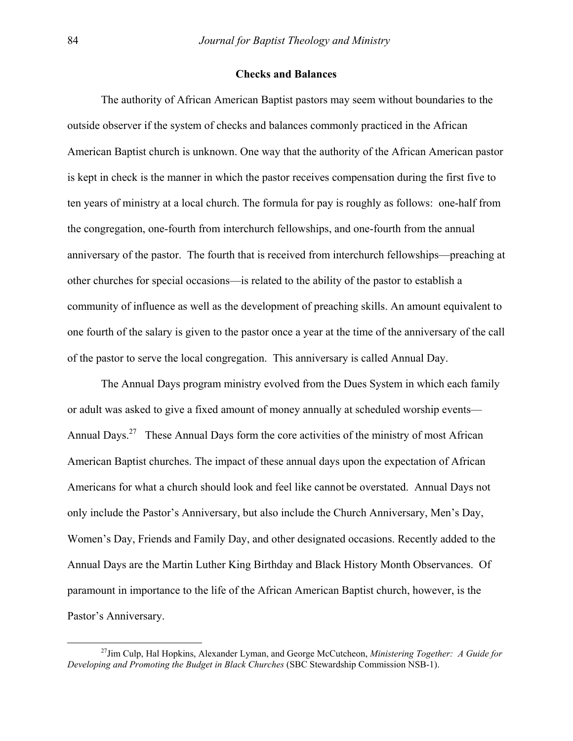### **Checks and Balances**

The authority of African American Baptist pastors may seem without boundaries to the outside observer if the system of checks and balances commonly practiced in the African American Baptist church is unknown. One way that the authority of the African American pastor is kept in check is the manner in which the pastor receives compensation during the first five to ten years of ministry at a local church. The formula for pay is roughly as follows: one-half from the congregation, one-fourth from interchurch fellowships, and one-fourth from the annual anniversary of the pastor. The fourth that is received from interchurch fellowships—preaching at other churches for special occasions—is related to the ability of the pastor to establish a community of influence as well as the development of preaching skills. An amount equivalent to one fourth of the salary is given to the pastor once a year at the time of the anniversary of the call of the pastor to serve the local congregation. This anniversary is called Annual Day.

The Annual Days program ministry evolved from the Dues System in which each family or adult was asked to give a fixed amount of money annually at scheduled worship events— Annual Days.<sup>27</sup> These Annual Days form the core activities of the ministry of most African American Baptist churches. The impact of these annual days upon the expectation of African Americans for what a church should look and feel like cannot be overstated. Annual Days not only include the Pastor's Anniversary, but also include the Church Anniversary, Men's Day, Women's Day, Friends and Family Day, and other designated occasions. Recently added to the Annual Days are the Martin Luther King Birthday and Black History Month Observances. Of paramount in importance to the life of the African American Baptist church, however, is the Pastor's Anniversary.

<span id="page-10-0"></span> <sup>27</sup>Jim Culp, Hal Hopkins, Alexander Lyman, and George McCutcheon, *Ministering Together: A Guide for Developing and Promoting the Budget in Black Churches* (SBC Stewardship Commission NSB-1).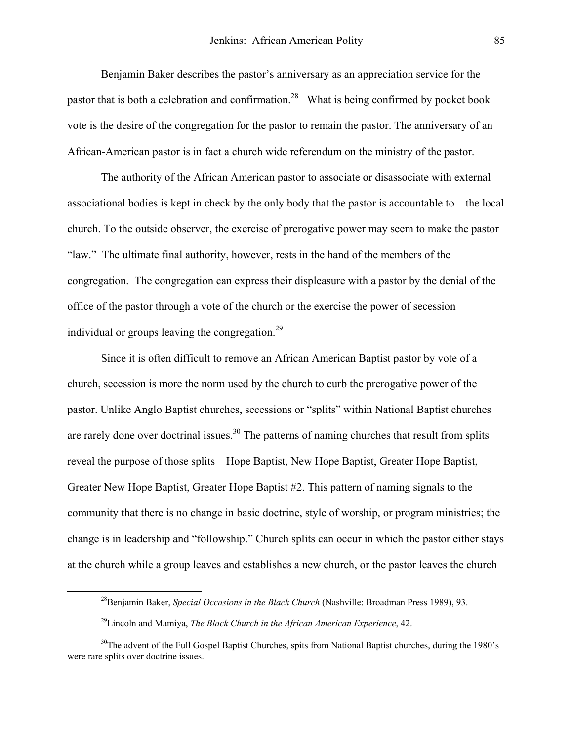Benjamin Baker describes the pastor's anniversary as an appreciation service for the pastor that is both a celebration and confirmation.<sup>28</sup> What is being confirmed by pocket book vote is the desire of the congregation for the pastor to remain the pastor. The anniversary of an African-American pastor is in fact a church wide referendum on the ministry of the pastor.

The authority of the African American pastor to associate or disassociate with external associational bodies is kept in check by the only body that the pastor is accountable to—the local church. To the outside observer, the exercise of prerogative power may seem to make the pastor "law." The ultimate final authority, however, rests in the hand of the members of the congregation. The congregation can express their displeasure with a pastor by the denial of the office of the pastor through a vote of the church or the exercise the power of secession individual or groups leaving the congregation.[29](#page-11-1) 

Since it is often difficult to remove an African American Baptist pastor by vote of a church, secession is more the norm used by the church to curb the prerogative power of the pastor. Unlike Anglo Baptist churches, secessions or "splits" within National Baptist churches are rarely done over doctrinal issues.<sup>30</sup> The patterns of naming churches that result from splits reveal the purpose of those splits—Hope Baptist, New Hope Baptist, Greater Hope Baptist, Greater New Hope Baptist, Greater Hope Baptist #2. This pattern of naming signals to the community that there is no change in basic doctrine, style of worship, or program ministries; the change is in leadership and "followship." Church splits can occur in which the pastor either stays at the church while a group leaves and establishes a new church, or the pastor leaves the church

<span id="page-11-0"></span> <sup>28</sup>Benjamin Baker, *Special Occasions in the Black Church* (Nashville: Broadman Press 1989), 93.

<span id="page-11-2"></span><span id="page-11-1"></span><sup>29</sup>Lincoln and Mamiya, *The Black Church in the African American Experience*, 42.

 $30$ The advent of the Full Gospel Baptist Churches, spits from National Baptist churches, during the 1980's were rare splits over doctrine issues.